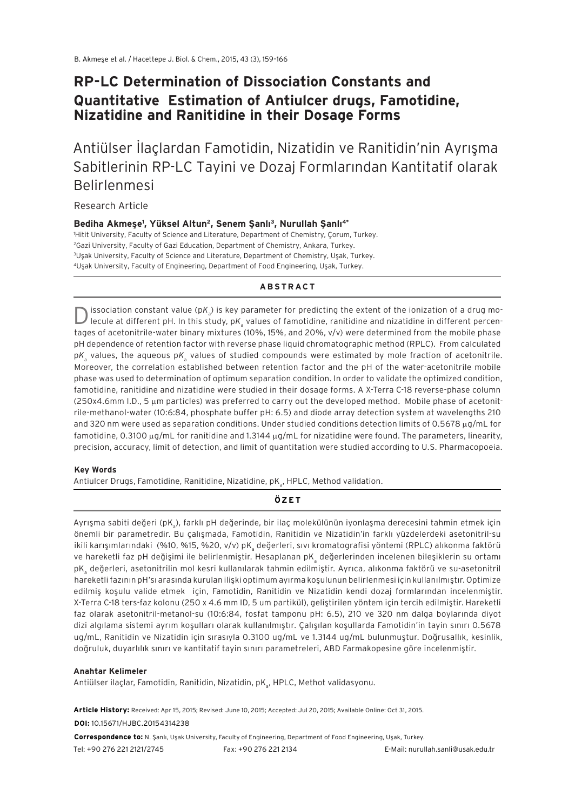# **RP-LC Determination of Dissociation Constants and Quantitative Estimation of Antiulcer drugs, Famotidine, Nizatidine and Ranitidine in their Dosage Forms**

Antiülser İlaçlardan Famotidin, Nizatidin ve Ranitidin'nin Ayrışma Sabitlerinin RP-LC Tayini ve Dozaj Formlarından Kantitatif olarak Belirlenmesi

## Research Article

**Bediha Akmeşe1 , Yüksel Altun2, Senem Şanlı3, Nurullah Şanlı4\*** 1 Hitit University, Faculty of Science and Literature, Department of Chemistry, Çorum, Turkey. 2 Gazi University, Faculty of Gazi Education, Department of Chemistry, Ankara, Turkey. 3 Uşak University, Faculty of Science and Literature, Department of Chemistry, Uşak, Turkey. 4Uşak University, Faculty of Engineering, Department of Food Engineering, Uşak, Turkey.

## **ABSTRACT**

D issociation constant value (p*K*<sub>a</sub>) is key parameter for predicting the extent of the ionization of a drug mo-<br>
lecule at different pH. In this study, p*K*<sub>a</sub> values of famotidine, ranitidine and nizatidine in differen issociation constant value ( $pK$ ) is key parameter for predicting the extent of the ionization of a drug motages of acetonitrile-water binary mixtures (10%, 15%, and 20%, v/v) were determined from the mobile phase pH dependence of retention factor with reverse phase liquid chromatographic method (RPLC). From calculated pK<sub>a</sub> values, the aqueous pK<sub>a</sub> values of studied compounds were estimated by mole fraction of acetonitrile. Moreover, the correlation established between retention factor and the pH of the water-acetonitrile mobile phase was used to determination of optimum separation condition. In order to validate the optimized condition, famotidine, ranitidine and nizatidine were studied in their dosage forms. A X-Terra C-18 reverse-phase column (250x4.6mm I.D., 5 μm particles) was preferred to carry out the developed method. Mobile phase of acetonitrile-methanol-water (10:6:84, phosphate buffer pH: 6.5) and diode array detection system at wavelengths 210 and 320 nm were used as separation conditions. Under studied conditions detection limits of 0.5678 µg/mL for famotidine, 0.3100 µg/mL for ranitidine and 1.3144 µg/mL for nizatidine were found. The parameters, linearity, precision, accuracy, limit of detection, and limit of quantitation were studied according to U.S. Pharmacopoeia.

## **Key Words**

Antiulcer Drugs, Famotidine, Ranitidine, Nizatidine, pK<sub>a</sub>, HPLC, Method validation.

## **ÖZET**

Ayrışma sabiti değeri (pK<sub>a</sub>), farklı pH değerinde, bir ilaç molekülünün iyonlaşma derecesini tahmin etmek için önemli bir parametredir. Bu çalışmada, Famotidin, Ranitidin ve Nizatidin'in farklı yüzdelerdeki asetonitril-su ikili karışımlarındaki (%10, %15, %20, v/v) pK<sub>a</sub> değerleri, sıvı kromatografisi yöntemi (RPLC) alıkonma faktörü ve hareketli faz pH değişimi ile belirlenmiştir. Hesaplanan pK<sub>a</sub> değerlerinden incelenen bileşiklerin su ortamı pK<sub>a</sub> değerleri, asetonitrilin mol kesri kullanılarak tahmin edilmiştir. Ayrıca, alıkonma faktörü ve su-asetonitril hareketli fazının pH'sı arasında kurulan ilişki optimum ayırma koşulunun belirlenmesi için kullanılmıştır. Optimize edilmiş koşulu valide etmek için, Famotidin, Ranitidin ve Nizatidin kendi dozaj formlarından incelenmiştir. X-Terra C-18 ters-faz kolonu (250 x 4.6 mm ID, 5 um partikül), geliştirilen yöntem için tercih edilmiştir. Hareketli faz olarak asetonitril-metanol-su (10:6:84, fosfat tamponu pH: 6.5), 210 ve 320 nm dalga boylarında diyot dizi algılama sistemi ayrım koşulları olarak kullanılmıştır. Çalışılan koşullarda Famotidin'in tayin sınırı 0.5678 ug/mL, Ranitidin ve Nizatidin için sırasıyla 0.3100 ug/mL ve 1.3144 ug/mL bulunmuştur. Doğrusallık, kesinlik, doğruluk, duyarlılık sınırı ve kantitatif tayin sınırı parametreleri, ABD Farmakopesine göre incelenmiştir.

#### **Anahtar Kelimeler**

Antiülser ilaçlar, Famotidin, Ranitidin, Nizatidin, pK., HPLC, Methot validasyonu.

**Article History:** Received: Apr 15, 2015; Revised: June 10, 2015; Accepted: Jul 20, 2015; Available Online: Oct 31, 2015. **DOI:** 10.15671/HJBC.20154314238

**Correspondence to:** N. Şanlı, Uşak University, Faculty of Engineering, Department of Food Engineering, Uşak, Turkey. Tel: +90 276 221 2121/2745 Fax: +90 276 221 2134 E-Mail: nurullah.sanli@usak.edu.tr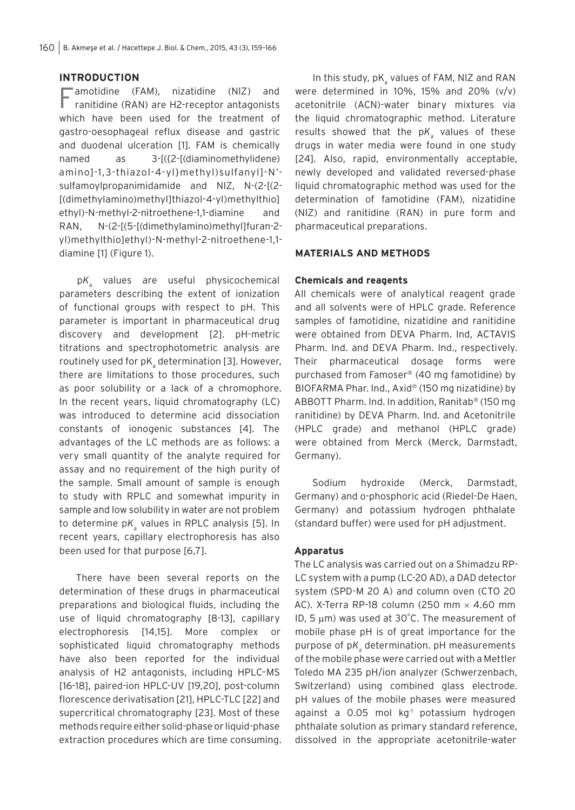# **INTRODUCTION**

Famotidine (FAM), nizatidine (NIZ) and ranitidine (RAN) are H2-receptor antagonists which have been used for the treatment of gastro-oesophageal reflux disease and gastric and duodenal ulceration [1]. FAM is chemically named as 3-[({2-[(diaminomethylidene) amino]-1,3-thiazol-4-yl}methyl)sulfanyl]-N' sulfamoylpropanimidamide and NIZ, N-(2-[(2- [(dimethylamino)methyl]thiazol-4-yl)methylthio] ethyl)-N-methyl-2-nitroethene-1,1-diamine and RAN, N-(2-[(5-[(dimethylamino)methyl]furan-2 yl)methylthio]ethyl)-N-methyl-2-nitroethene-1,1 diamine [1] (Figure 1).

p*K*<sup>a</sup> values are useful physicochemical parameters describing the extent of ionization of functional groups with respect to pH. This parameter is important in pharmaceutical drug discovery and development [2]. pH-metric titrations and spectrophotometric analysis are routinely used for pK<sub>a</sub> determination [3]. However, there are limitations to those procedures, such as poor solubility or a lack of a chromophore. In the recent years, liquid chromatography (LC) was introduced to determine acid dissociation constants of ionogenic substances [4]. The advantages of the LC methods are as follows: a very small quantity of the analyte required for assay and no requirement of the high purity of the sample. Small amount of sample is enough to study with RPLC and somewhat impurity in sample and low solubility in water are not problem to determine pK<sub>a</sub> values in RPLC analysis [5]. In recent years, capillary electrophoresis has also been used for that purpose [6,7].

There have been several reports on the determination of these drugs in pharmaceutical preparations and biological fluids, including the use of liquid chromatography [8-13], capillary electrophoresis [14,15]. More complex or sophisticated liquid chromatography methods have also been reported for the individual analysis of H2 antagonists, including HPLC–MS [16-18], paired-ion HPLC-UV [19,20], post-column florescence derivatisation [21], HPLC-TLC [22] and supercritical chromatography [23]. Most of these methods require either solid-phase or liquid-phase extraction procedures which are time consuming.

In this study, pK<sub>a</sub> values of FAM, NIZ and RAN were determined in 10%, 15% and 20% (v/v) acetonitrile (ACN)-water binary mixtures via the liquid chromatographic method. Literature results showed that the pK<sub>a</sub> values of these drugs in water media were found in one study [24]. Also, rapid, environmentally acceptable. newly developed and validated reversed-phase liquid chromatographic method was used for the determination of famotidine (FAM), nizatidine (NIZ) and ranitidine (RAN) in pure form and pharmaceutical preparations.

# **MATERIALS AND METHODS**

# **Chemicals and reagents**

All chemicals were of analytical reagent grade and all solvents were of HPLC grade. Reference samples of famotidine, nizatidine and ranitidine were obtained from DEVA Pharm. Ind, ACTAVIS Pharm. Ind. and DEVA Pharm. Ind., respectively. Their pharmaceutical dosage forms were purchased from Famoser® (40 mg famotidine) by BIOFARMA Phar. Ind., Axid® (150 mg nizatidine) by ABBOTT Pharm. Ind. In addition, Ranitab® (150 mg ranitidine) by DEVA Pharm. Ind. and Acetonitrile (HPLC grade) and methanol (HPLC grade) were obtained from Merck (Merck, Darmstadt, Germany).

Sodium hydroxide (Merck, Darmstadt, Germany) and o-phosphoric acid (Riedel-De Haen, Germany) and potassium hydrogen phthalate (standard buffer) were used for pH adjustment.

# **Apparatus**

The LC analysis was carried out on a Shimadzu RP-LC system with a pump (LC-20 AD), a DAD detector system (SPD-M 20 A) and column oven (CTO 20 AC). X-Terra RP-18 column (250 mm  $\times$  4.60 mm ID, 5  $\mu$ m) was used at 30°C. The measurement of mobile phase pH is of great importance for the purpose of p $\mathsf{K}_\mathsf{a}$  determination. pH measurements of the mobile phase were carried out with a Mettler Toledo MA 235 pH/ion analyzer (Schwerzenbach, Switzerland) using combined glass electrode. pH values of the mobile phases were measured against a 0.05 mol kg-1 potassium hydrogen phthalate solution as primary standard reference, dissolved in the appropriate acetonitrile-water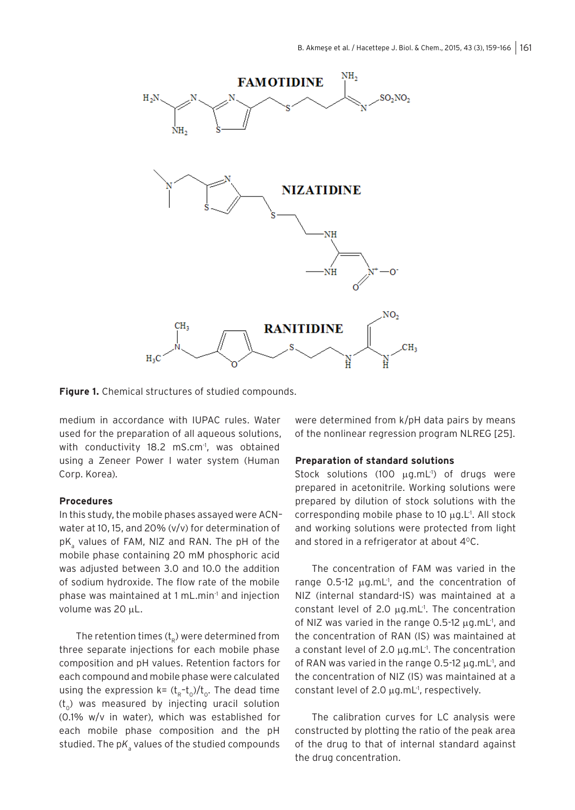

**Figure 1.** Chemical structures of studied compounds.

medium in accordance with IUPAC rules. Water used for the preparation of all aqueous solutions, with conductivity 18.2 mS.cm<sup>-1</sup>, was obtained using a Zeneer Power I water system (Human Corp. Korea).

## **Procedures**

In this study, the mobile phases assayed were ACN– water at 10, 15, and 20% (v/v) for determination of  $\mathsf{p}\mathsf{K}_\mathsf{a}$  values of FAM, NIZ and RAN. The <code>pH</code> of the mobile phase containing 20 mM phosphoric acid was adjusted between 3.0 and 10.0 the addition of sodium hydroxide. The flow rate of the mobile phase was maintained at 1 mL.min<sup>-1</sup> and injection volume was 20 μL.

The retention times  $(t_R)$  were determined from three separate injections for each mobile phase composition and pH values. Retention factors for each compound and mobile phase were calculated using the expression  $k = (t<sub>R</sub>-t<sub>0</sub>)/t<sub>0</sub>$ . The dead time  $(t_0)$  was measured by injecting uracil solution (0.1% w/v in water), which was established for each mobile phase composition and the pH studied. The pK<sub>a</sub> values of the studied compounds were determined from k/pH data pairs by means of the nonlinear regression program NLREG [25].

#### **Preparation of standard solutions**

Stock solutions (100  $\mu$ g.mL<sup>-1</sup>) of drugs were prepared in acetonitrile. Working solutions were prepared by dilution of stock solutions with the corresponding mobile phase to 10  $\mu$ g.L<sup>-1</sup>. All stock and working solutions were protected from light and stored in a refrigerator at about 4°C.

The concentration of FAM was varied in the range 0.5-12 μg.mL<sup>-1</sup>, and the concentration of NIZ (internal standard-IS) was maintained at a constant level of 2.0  $\mu$ g.mL<sup>1</sup>. The concentration of NIZ was varied in the range 0.5-12  $\mu$ g.mL<sup>-1</sup>, and the concentration of RAN (IS) was maintained at a constant level of 2.0  $\mu$ g.mL<sup>-1</sup>. The concentration of RAN was varied in the range  $0.5$ -12  $\mu$ g.mL<sup>-1</sup>, and the concentration of NIZ (IS) was maintained at a constant level of 2.0  $\mu$ g.mL<sup>-1</sup>, respectively.

The calibration curves for LC analysis were constructed by plotting the ratio of the peak area of the drug to that of internal standard against the drug concentration.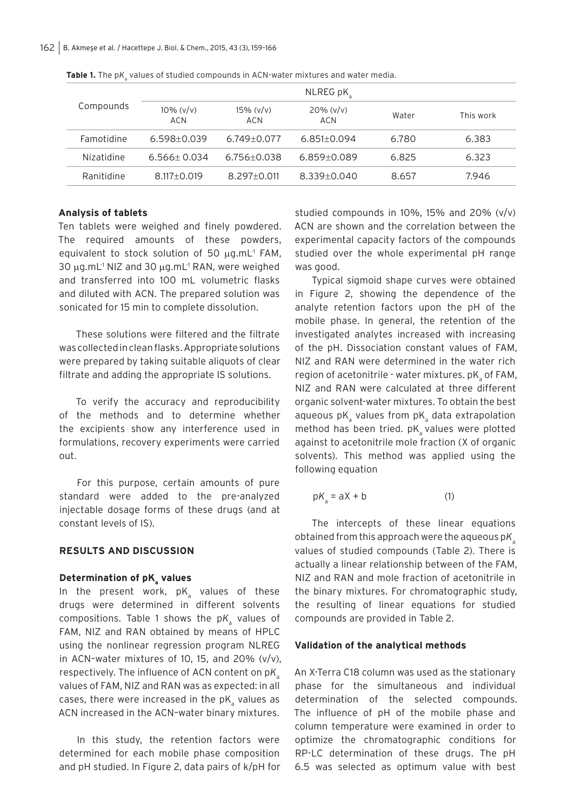| Compounds  | NLREG pK                       |                         |                         |       |           |  |
|------------|--------------------------------|-------------------------|-------------------------|-------|-----------|--|
|            | $10\%$ ( $v/v$ )<br><b>ACN</b> | $15\%$ ( $v/v$ )<br>ACN | $20\%$ ( $v/v$ )<br>ACN | Water | This work |  |
| Famotidine | $6.598 + 0.039$                | $6.749 + 0.077$         | $6.851 \pm 0.094$       | 6.780 | 6.383     |  |
| Nizatidine | $6.566 \pm 0.034$              | $6.756 \pm 0.038$       | $6.859 + 0.089$         | 6.825 | 6.323     |  |
| Ranitidine | $8.117 + 0.019$                | $8.297 + 0.011$         | $8.339 + 0.040$         | 8.657 | 7.946     |  |

**Table 1.** The p $\mathsf{K}\xspace_{\mathsf{a}}$  values of studied compounds in ACN-water mixtures and water media.

## **Analysis of tablets**

Ten tablets were weighed and finely powdered. The required amounts of these powders, equivalent to stock solution of 50  $\mu$ q.mL<sup>1</sup> FAM,  $30 \mu$ g.mL<sup>-1</sup> NIZ and  $30 \mu$ g.mL<sup>-1</sup> RAN, were weighed and transferred into 100 mL volumetric flasks and diluted with ACN. The prepared solution was sonicated for 15 min to complete dissolution.

These solutions were filtered and the filtrate was collected in clean flasks. Appropriate solutions were prepared by taking suitable aliquots of clear filtrate and adding the appropriate IS solutions.

To verify the accuracy and reproducibility of the methods and to determine whether the excipients show any interference used in formulations, recovery experiments were carried out.

For this purpose, certain amounts of pure standard were added to the pre-analyzed injectable dosage forms of these drugs (and at constant levels of IS).

## **RESULTS AND DISCUSSION**

# **Determination of pKa values**

In the present work,  $pK_a$  values of these drugs were determined in different solvents compositions. Table 1 shows the pK<sub>a</sub> values of FAM, NIZ and RAN obtained by means of HPLC using the nonlinear regression program NLREG in ACN–water mixtures of 10, 15, and 20% (v/v), respectively. The influence of ACN content on pK values of FAM, NIZ and RAN was as expected: in all cases, there were increased in the pK $_{\rm a}$  values as ACN increased in the ACN–water binary mixtures.

In this study, the retention factors were determined for each mobile phase composition and pH studied. In Figure 2, data pairs of k/pH for

studied compounds in 10%, 15% and 20%  $(v/v)$ ACN are shown and the correlation between the experimental capacity factors of the compounds studied over the whole experimental pH range was good.

Typical sigmoid shape curves were obtained in Figure 2, showing the dependence of the analyte retention factors upon the pH of the mobile phase. In general, the retention of the investigated analytes increased with increasing of the pH. Dissociation constant values of FAM, NIZ and RAN were determined in the water rich region of acetonitrile - water mixtures. pK<sub>a</sub> of FAM, NIZ and RAN were calculated at three different organic solvent-water mixtures. To obtain the best aqueous pK<sub>a</sub> values from pK<sub>a</sub> data extrapolation method has been tried.  $pK<sub>a</sub>$  values were plotted against to acetonitrile mole fraction (X of organic solvents). This method was applied using the following equation

$$
pK_a = aX + b \tag{1}
$$

The intercepts of these linear equations obtained from this approach were the aqueous p*K*<sup>a</sup> values of studied compounds (Table 2). There is actually a linear relationship between of the FAM, NIZ and RAN and mole fraction of acetonitrile in the binary mixtures. For chromatographic study, the resulting of linear equations for studied compounds are provided in Table 2.

#### **Validation of the analytical methods**

An X-Terra C18 column was used as the stationary phase for the simultaneous and individual determination of the selected compounds. The influence of pH of the mobile phase and column temperature were examined in order to optimize the chromatographic conditions for RP-LC determination of these drugs. The pH 6.5 was selected as optimum value with best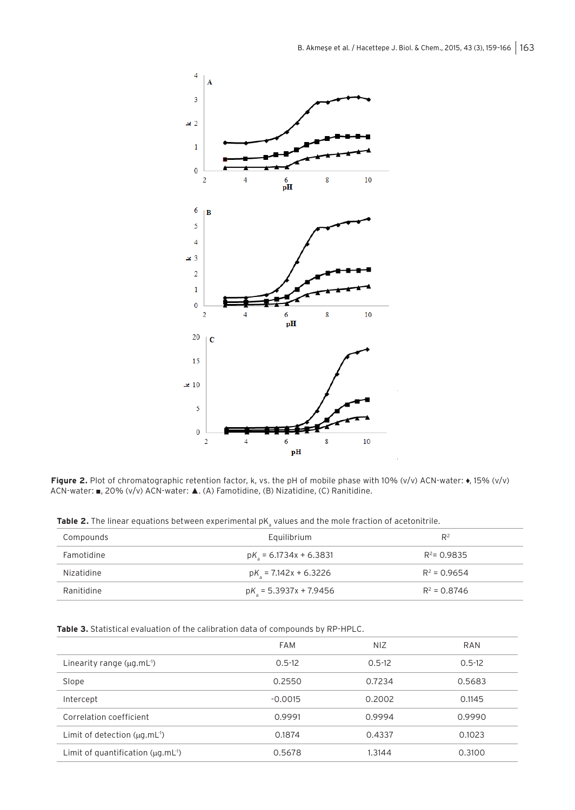

**Figure 2.** Plot of chromatographic retention factor, k, vs. the pH of mobile phase with 10% (v/v) ACN-water: ♦, 15% (v/v) ACN-water: ■, 20% (v/v) ACN-water: ▲. (A) Famotidine, (B) Nizatidine, (C) Ranitidine.

 ${\sf Table~2.}$  The linear equations between experimental pK $_{\rm a}$  values and the mole fraction of acetonitrile.

| Compounds  | Equilibrium             | $R^2$          |
|------------|-------------------------|----------------|
| Famotidine | $pK = 6.1734x + 6.3831$ | $R^2$ = 0.9835 |
| Nizatidine | $pK = 7.142x + 6.3226$  | $R^2 = 0.9654$ |
| Ranitidine | $pK = 5.3937x + 7.9456$ | $R^2 = 0.8746$ |

#### **Table 3.** Statistical evaluation of the calibration data of compounds by RP-HPLC.

|                                           | <b>FAM</b> | <b>NIZ</b> | <b>RAN</b> |
|-------------------------------------------|------------|------------|------------|
| Linearity range $(\mu q.mL^1)$            | $0.5 - 12$ | $0.5 - 12$ | $0.5 - 12$ |
| Slope                                     | 0.2550     | 0.7234     | 0.5683     |
| Intercept                                 | $-0.0015$  | 0.2002     | 0.1145     |
| Correlation coefficient                   | 0.9991     | 0.9994     | 0.9990     |
| Limit of detection $(\mu q.mL^1)$         | 0.1874     | 0.4337     | 0.1023     |
| Limit of quantification $(\mu q.mL^{-1})$ | 0.5678     | 1.3144     | 0.3100     |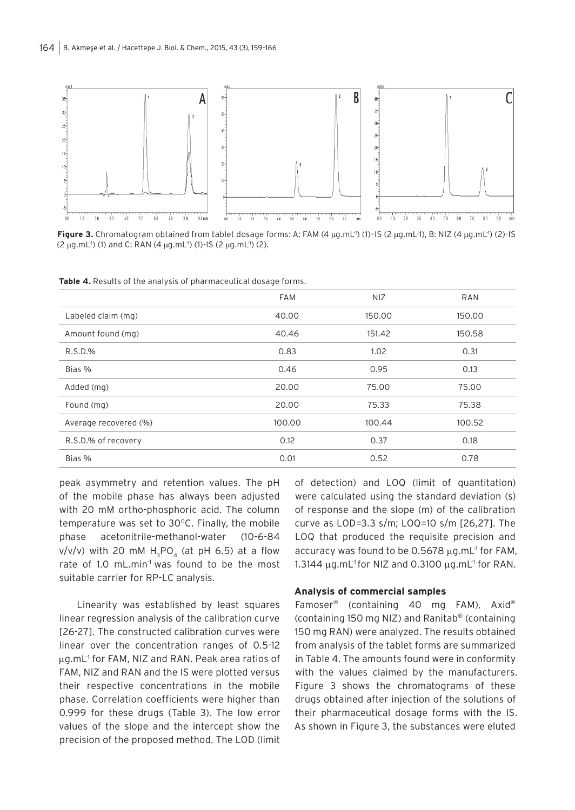

**Figure 3.** Chromatogram obtained from tablet dosage forms: A: FAM  $(4 \mu q.mL^1)$  (1)-IS  $(2 \mu q.mL^1)$ , B: NIZ  $(4 \mu q.mL^1)$  (2)-IS  $(2 \mu g.mL^{-1})$  (1) and C: RAN  $(4 \mu g.mL^{-1})$  (1)-IS  $(2 \mu g.mL^{-1})$  (2).

|                       | <b>FAM</b> | NIZ.   | <b>RAN</b> |
|-----------------------|------------|--------|------------|
| Labeled claim (mg)    | 40.00      | 150.00 | 150.00     |
| Amount found (mg)     | 40.46      | 151.42 | 150.58     |
| $R.S.D.\%$            | 0.83       | 1.02   | 0.31       |
| Bias %                | 0.46       | 0.95   | 0.13       |
| Added (mg)            | 20.00      | 75.00  | 75.00      |
| Found (mg)            | 20.00      | 75.33  | 75.38      |
| Average recovered (%) | 100.00     | 100.44 | 100.52     |
| R.S.D.% of recovery   | 0.12       | 0.37   | 0.18       |
| Bias %                | 0.01       | 0.52   | 0.78       |

**Table 4.** Results of the analysis of pharmaceutical dosage forms.

peak asymmetry and retention values. The pH of the mobile phase has always been adjusted with 20 mM ortho-phosphoric acid. The column temperature was set to  $30^{\circ}$ C. Finally, the mobile phase acetonitrile-methanol-water (10-6-84  $v/v/v$ ) with 20 mM H<sub>3</sub>PO<sub>4</sub> (at pH 6.5) at a flow rate of 1.0 mL.min<sup>-1</sup> was found to be the most suitable carrier for RP-LC analysis.

Linearity was established by least squares linear regression analysis of the calibration curve [26-27]. The constructed calibration curves were linear over the concentration ranges of 0.5-12 μg.mL<sup>1</sup> for FAM, NIZ and RAN. Peak area ratios of FAM, NIZ and RAN and the IS were plotted versus their respective concentrations in the mobile phase. Correlation coefficients were higher than 0.999 for these drugs (Table 3). The low error values of the slope and the intercept show the precision of the proposed method. The LOD (limit

of detection) and LOQ (limit of quantitation) were calculated using the standard deviation (s) of response and the slope (m) of the calibration curve as LOD=3.3 s/m; LOQ=10 s/m [26,27]. The LOQ that produced the requisite precision and accuracy was found to be  $0.5678 \mu$ g.mL<sup>1</sup> for FAM, 1.3144  $\mu$ g.mL<sup>1</sup> for NIZ and 0.3100  $\mu$ g.mL<sup>1</sup> for RAN.

#### **Analysis of commercial samples**

Famoser® (containing 40 mg FAM), Axid® (containing 150 mg NIZ) and Ranitab® (containing 150 mg RAN) were analyzed. The results obtained from analysis of the tablet forms are summarized in Table 4. The amounts found were in conformity with the values claimed by the manufacturers. Figure 3 shows the chromatograms of these drugs obtained after injection of the solutions of their pharmaceutical dosage forms with the IS. As shown in Figure 3, the substances were eluted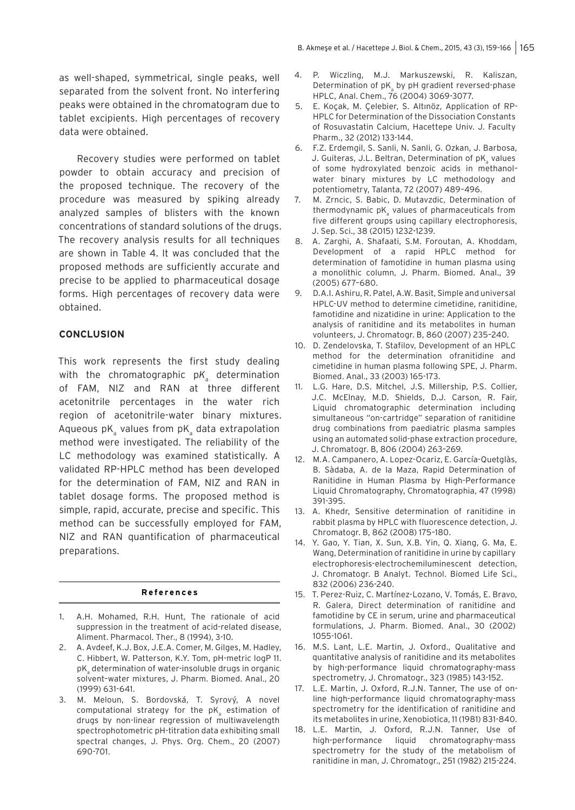as well-shaped, symmetrical, single peaks, well separated from the solvent front. No interfering peaks were obtained in the chromatogram due to tablet excipients. High percentages of recovery data were obtained.

Recovery studies were performed on tablet powder to obtain accuracy and precision of the proposed technique. The recovery of the procedure was measured by spiking already analyzed samples of blisters with the known concentrations of standard solutions of the drugs. The recovery analysis results for all techniques are shown in Table 4. It was concluded that the proposed methods are sufficiently accurate and precise to be applied to pharmaceutical dosage forms. High percentages of recovery data were obtained.

## **CONCLUSION**

This work represents the first study dealing with the chromatographic pK<sub>a</sub> determination of FAM, NIZ and RAN at three different acetonitrile percentages in the water rich region of acetonitrile-water binary mixtures. Aqueous p $\mathsf{K}_{_\mathtt{a}}$  values from p $\mathsf{K}_{_\mathtt{a}}$  data extrapolation method were investigated. The reliability of the LC methodology was examined statistically. A validated RP-HPLC method has been developed for the determination of FAM, NIZ and RAN in tablet dosage forms. The proposed method is simple, rapid, accurate, precise and specific. This method can be successfully employed for FAM, NIZ and RAN quantification of pharmaceutical preparations.

#### **References**

- 1. A.H. Mohamed, R.H. Hunt, The rationale of acid suppression in the treatment of acid-related disease, Aliment. Pharmacol. Ther., 8 (1994), 3-10.
- 2. A. Avdeef, K.J. Box, J.E.A. Comer, M. Gilges, M. Hadley, C. Hibbert, W. Patterson, K.Y. Tom, pH-metric logP 11. pK<sub>a</sub> determination of water-insoluble drugs in organic solvent–water mixtures, J. Pharm. Biomed. Anal., 20 (1999) 631-641.
- 3. M. Meloun, S. Bordovská, T. Syrový, A novel computational strategy for the pK<sub>a</sub> estimation of drugs by non-linear regression of multiwavelength spectrophotometric pH-titration data exhibiting small spectral changes, J. Phys. Org. Chem., 20 (2007) 690-701.
- 4. P. Wiczling, M.J. Markuszewski, R. Kaliszan, Determination of p $\mathsf{K}_{\mathsf{a}}$  by pH gradient reversed-phase HPLC, Anal. Chem., 76 (2004) 3069-3077.
- 5. E. Koçak, M. Çelebier, S. Altınöz, Application of RP-HPLC for Determination of the Dissociation Constants of Rosuvastatin Calcium, Hacettepe Univ. J. Faculty Pharm., 32 (2012) 133-144.
- 6. F.Z. Erdemgil, S. Sanli, N. Sanli, G. Ozkan, J. Barbosa, J. Guiteras, J.L. Beltran, Determination of pK<sub>a</sub> values of some hydroxylated benzoic acids in methanol– water binary mixtures by LC methodology and potentiometry, Talanta, 72 (2007) 489–496.
- 7. M. Zrncic, S. Babic, D. Mutavzdic, Determination of thermodynamic pK<sub>a</sub> values of pharmaceuticals from five different groups using capillary electrophoresis, J. Sep. Sci., 38 (2015) 1232-1239.
- 8. A. Zarghi, A. Shafaati, S.M. Foroutan, A. Khoddam, Development of a rapid HPLC method for determination of famotidine in human plasma using a monolithic column, J. Pharm. Biomed. Anal., 39 (2005) 677–680.
- 9. D.A.I. Ashiru, R. Patel, A.W. Basit, Simple and universal HPLC-UV method to determine cimetidine, ranitidine, famotidine and nizatidine in urine: Application to the analysis of ranitidine and its metabolites in human volunteers, J. Chromatogr. B, 860 (2007) 235–240.
- 10. D. Zendelovska, T. Stafilov, Development of an HPLC method for the determination ofranitidine and cimetidine in human plasma following SPE, J. Pharm. Biomed. Anal., 33 (2003) 165-173.
- 11. L.G. Hare, D.S. Mitchel, J.S. Millership, P.S. Collier, J.C. McElnay, M.D. Shields, D.J. Carson, R. Fair, Liquid chromatographic determination including simultaneous "on-cartridge" separation of ranitidine drug combinations from paediatric plasma samples using an automated solid-phase extraction procedure, J. Chromatogr. B, 806 (2004) 263–269.
- 12. M.A. Campanero, A. Lopez-Ocariz, E. García-Quetglàs, B. Sàdaba, A. de la Maza, Rapid Determination of Ranitidine in Human Plasma by High-Performance Liquid Chromatography, Chromatographia, 47 (1998) 391-395.
- 13. A. Khedr, Sensitive determination of ranitidine in rabbit plasma by HPLC with fluorescence detection, J. Chromatogr. B, 862 (2008) 175–180.
- 14. Y. Gao, Y. Tian, X. Sun, X.B. Yin, Q. Xiang, G. Ma, E. Wang, Determination of ranitidine in urine by capillary electrophoresis-electrochemiluminescent detection, J. Chromatogr. B Analyt. Technol. Biomed Life Sci., 832 (2006) 236-240.
- 15. T. Perez-Ruiz, C. Martínez-Lozano, V. Tomás, E. Bravo, R. Galera, Direct determination of ranitidine and famotidine by CE in serum, urine and pharmaceutical formulations, J. Pharm. Biomed. Anal., 30 (2002) 1055-1061.
- 16. M.S. Lant, L.E. Martin, J. Oxford., Qualitative and quantitative analysis of ranitidine and its metabolites by high-performance liquid chromatography-mass spectrometry, J. Chromatogr., 323 (1985) 143-152.
- 17. L.E. Martin, J. Oxford, R.J.N. Tanner, The use of online high-performance liquid chromatography-mass spectrometry for the identification of ranitidine and its metabolites in urine, Xenobiotica, 11 (1981) 831-840.
- 18. L.E. Martin, J. Oxford, R.J.N. Tanner, Use of high-performance liquid chromatography-mass spectrometry for the study of the metabolism of ranitidine in man, J. Chromatogr., 251 (1982) 215-224.